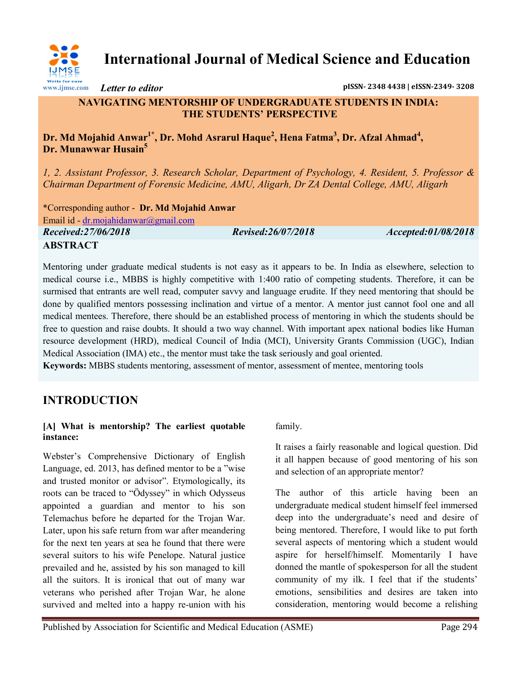

**International Journal of Medical Science and Education**

*Letter to editor* **pISSN- 2348 4438 | eISSN-2349- 3208**

## **NAVIGATING MENTORSHIP OF UNDERGRADUATE STUDENTS IN INDIA: THE STUDENTS' PERSPECTIVE**

## **Dr. Md Mojahid Anwar1\* , Dr. Mohd Asrarul Haque<sup>2</sup> , Hena Fatma<sup>3</sup> , Dr. Afzal Ahmad<sup>4</sup> , Dr. Munawwar Husain<sup>5</sup>**

*1, 2. Assistant Professor, 3. Research Scholar, Department of Psychology, 4. Resident, 5. Professor & Chairman Department of Forensic Medicine, AMU, Aligarh, Dr ZA Dental College, AMU, Aligarh*

\*Corresponding author - **Dr. Md Mojahid Anwar** Email id - [dr.mojahidanwar@gmail.com](mailto:dr.mojahidanwar@gmail.com) *Received:27/06/2018 Revised:26/07/2018 Accepted:01/08/2018* **ABSTRACT**

Mentoring under graduate medical students is not easy as it appears to be. In India as elsewhere, selection to medical course i.e., MBBS is highly competitive with 1:400 ratio of competing students. Therefore, it can be surmised that entrants are well read, computer savvy and language erudite. If they need mentoring that should be done by qualified mentors possessing inclination and virtue of a mentor. A mentor just cannot fool one and all medical mentees. Therefore, there should be an established process of mentoring in which the students should be free to question and raise doubts. It should a two way channel. With important apex national bodies like Human resource development (HRD), medical Council of India (MCI), University Grants Commission (UGC), Indian Medical Association (IMA) etc., the mentor must take the task seriously and goal oriented.

**Keywords:** MBBS students mentoring, assessment of mentor, assessment of mentee, mentoring tools

# **INTRODUCTION**

#### **[A] What is mentorship? The earliest quotable instance:**

Webster's Comprehensive Dictionary of English Language, ed. 2013, has defined mentor to be a "wise and trusted monitor or advisor". Etymologically, its roots can be traced to "Ödyssey" in which Odysseus appointed a guardian and mentor to his son Telemachus before he departed for the Trojan War. Later, upon his safe return from war after meandering for the next ten years at sea he found that there were several suitors to his wife Penelope. Natural justice prevailed and he, assisted by his son managed to kill all the suitors. It is ironical that out of many war veterans who perished after Trojan War, he alone survived and melted into a happy re-union with his

family.

It raises a fairly reasonable and logical question. Did it all happen because of good mentoring of his son and selection of an appropriate mentor?

The author of this article having been an undergraduate medical student himself feel immersed deep into the undergraduate's need and desire of being mentored. Therefore, I would like to put forth several aspects of mentoring which a student would aspire for herself/himself. Momentarily I have donned the mantle of spokesperson for all the student community of my ilk. I feel that if the students' emotions, sensibilities and desires are taken into consideration, mentoring would become a relishing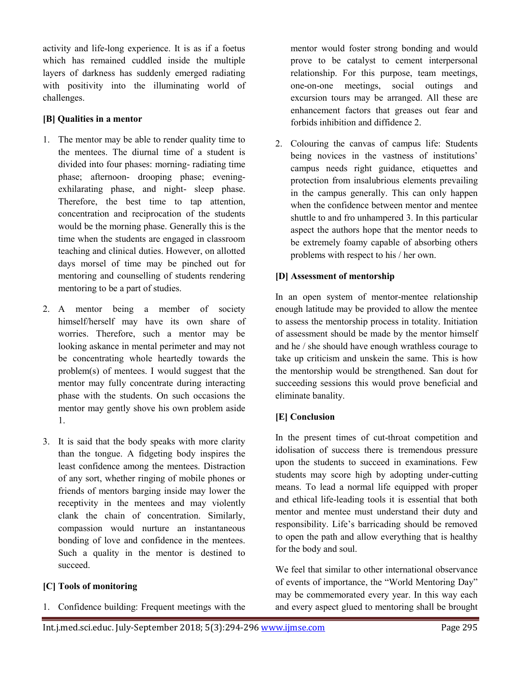activity and life-long experience. It is as if a foetus which has remained cuddled inside the multiple layers of darkness has suddenly emerged radiating with positivity into the illuminating world of challenges.

#### **[B] Qualities in a mentor**

- 1. The mentor may be able to render quality time to the mentees. The diurnal time of a student is divided into four phases: morning- radiating time phase; afternoon- drooping phase; eveningexhilarating phase, and night- sleep phase. Therefore, the best time to tap attention, concentration and reciprocation of the students would be the morning phase. Generally this is the time when the students are engaged in classroom teaching and clinical duties. However, on allotted days morsel of time may be pinched out for mentoring and counselling of students rendering mentoring to be a part of studies.
- 2. A mentor being a member of society himself/herself may have its own share of worries. Therefore, such a mentor may be looking askance in mental perimeter and may not be concentrating whole heartedly towards the problem(s) of mentees. I would suggest that the mentor may fully concentrate during interacting phase with the students. On such occasions the mentor may gently shove his own problem aside 1.
- 3. It is said that the body speaks with more clarity than the tongue. A fidgeting body inspires the least confidence among the mentees. Distraction of any sort, whether ringing of mobile phones or friends of mentors barging inside may lower the receptivity in the mentees and may violently clank the chain of concentration. Similarly, compassion would nurture an instantaneous bonding of love and confidence in the mentees. Such a quality in the mentor is destined to succeed.

## **[C] Tools of monitoring**

1. Confidence building: Frequent meetings with the

mentor would foster strong bonding and would prove to be catalyst to cement interpersonal relationship. For this purpose, team meetings, one-on-one meetings, social outings and excursion tours may be arranged. All these are enhancement factors that greases out fear and forbids inhibition and diffidence 2.

2. Colouring the canvas of campus life: Students being novices in the vastness of institutions' campus needs right guidance, etiquettes and protection from insalubrious elements prevailing in the campus generally. This can only happen when the confidence between mentor and mentee shuttle to and fro unhampered 3. In this particular aspect the authors hope that the mentor needs to be extremely foamy capable of absorbing others problems with respect to his / her own.

### **[D] Assessment of mentorship**

In an open system of mentor-mentee relationship enough latitude may be provided to allow the mentee to assess the mentorship process in totality. Initiation of assessment should be made by the mentor himself and he / she should have enough wrathless courage to take up criticism and unskein the same. This is how the mentorship would be strengthened. San dout for succeeding sessions this would prove beneficial and eliminate banality.

## **[E] Conclusion**

In the present times of cut-throat competition and idolisation of success there is tremendous pressure upon the students to succeed in examinations. Few students may score high by adopting under-cutting means. To lead a normal life equipped with proper and ethical life-leading tools it is essential that both mentor and mentee must understand their duty and responsibility. Life's barricading should be removed to open the path and allow everything that is healthy for the body and soul.

We feel that similar to other international observance of events of importance, the "World Mentoring Day" may be commemorated every year. In this way each and every aspect glued to mentoring shall be brought